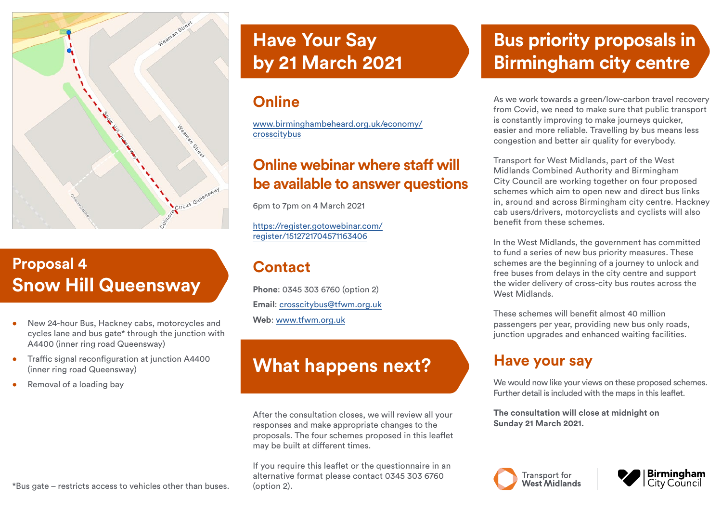

# **Proposal 4 Snow Hill Queensway**

- New 24-hour Bus, Hackney cabs, motorcycles and cycles lane and bus gate\* through the junction with A4400 (inner ring road Queensway)
- Traffic signal reconfiguration at junction A4400 (inner ring road Queensway)
- Removal of a loading bay

\*Bus gate – restricts access to vehicles other than buses.

# **Have Your Say by 21 March 2021**

## **Online**

[www.birminghambeheard.org.uk/economy/](http://www.birminghambeheard.org.uk/economy/crosscitybus) [crosscitybus](http://www.birminghambeheard.org.uk/economy/crosscitybus)

### **Online webinar where staff will be available to answer questions**

6pm to 7pm on 4 March 2021

[https://register.gotowebinar.com/](https://register.gotowebinar.com/register/1512721704571163406) [register/1512721704571163406](https://register.gotowebinar.com/register/1512721704571163406)

#### **Contact**

**Phone**: 0345 303 6760 (option 2) **Email**: [crosscitybus@tfwm.org.uk](mailto:crosscitybus%40tfwm.org.uk?subject=Bus%20priority%20proposals) **Web**: [www.tfwm.org.uk](http://www.tfwm.org.uk)

# **What happens next?**

After the consultation closes, we will review all your responses and make appropriate changes to the proposals. The four schemes proposed in this leaflet may be built at different times.

If you require this leaflet or the questionnaire in an alternative format please contact 0345 303 6760 (option 2).

# **Bus priority proposals in Birmingham city centre**

As we work towards a green/low-carbon travel recovery from Covid, we need to make sure that public transport is constantly improving to make journeys quicker, easier and more reliable. Travelling by bus means less congestion and better air quality for everybody.

Transport for West Midlands, part of the West Midlands Combined Authority and Birmingham City Council are working together on four proposed schemes which aim to open new and direct bus links in, around and across Birmingham city centre. Hackney cab users/drivers, motorcyclists and cyclists will also benefit from these schemes.

In the West Midlands, the government has committed to fund a series of new bus priority measures. These schemes are the beginning of a journey to unlock and free buses from delays in the city centre and support the wider delivery of cross-city bus routes across the West Midlands

These schemes will benefit almost 40 million passengers per year, providing new bus only roads, junction upgrades and enhanced waiting facilities.

#### **Have your say**

We would now like your views on these proposed schemes. Further detail is included with the maps in this leaflet.

**The consultation will close at midnight on Sunday 21 March 2021.**